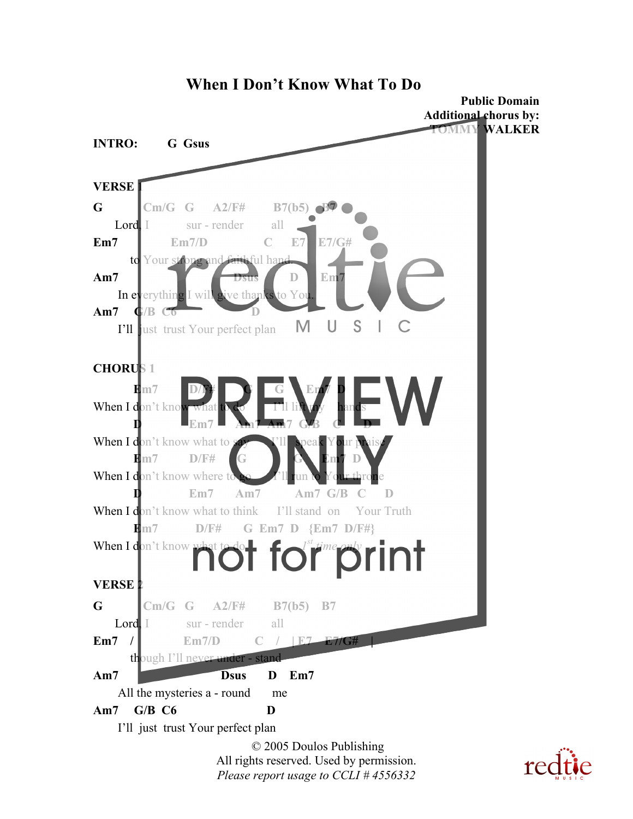